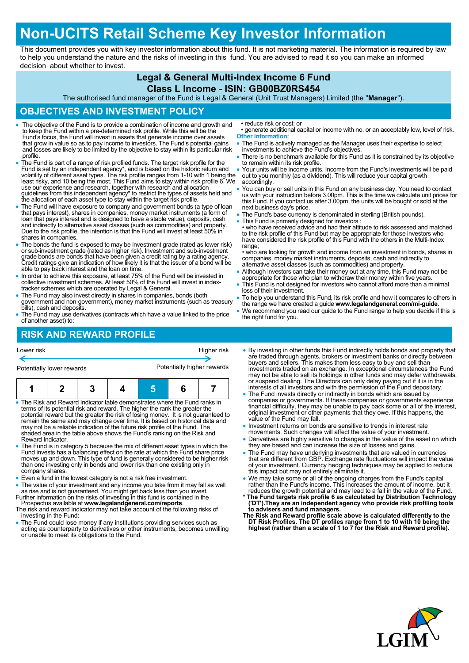# **Non-UCITS Retail Scheme Key Investor Information**

This document provides you with key investor information about this fund. It is not marketing material. The information is required by law to help you understand the nature and the risks of investing in this fund. You are advised to read it so you can make an informed decision about whether to invest.

## **Legal & General Multi-Index Income 6 Fund**

#### **Class L Income - ISIN: GB00BZ0RS454**

The authorised fund manager of the Fund is Legal & General (Unit Trust Managers) Limited (the "**Manager**").

#### **OBJECTIVES AND INVESTMENT POLICY**

- The objective of the Fund is to provide a combination of income and growth and to keep the Fund within a pre-determined risk profile. While this will be the Fund's focus, the Fund will invest in assets that generate income over assets that grow in value so as to pay income to investors. The Fund's potential gains and losses are likely to be limited by the objective to stay within its particular risk profile.
- The Fund is part of a range of risk profiled funds. The target risk profile for the Fund is set by an independent agency\*, and is based on the historic return and volatility of different asset types. The risk profile ranges from 1-10 with 1 being the least risky, and 10 being the most. This Fund aims to stay within risk profile 6. We use our experience and research, together with research and allocation guidelines from this independent agency\* to restrict the types of assets held and the allocation of each asset type to stay within the target risk profile.
- The Fund will have exposure to company and government bonds (a type of loan<br>that pays interest), shares in companies, money market instruments (a form of<br>loan that pays interest and is designed to have a stable value), d and indirectly to alternative asset classes (such as commodities) and property. Due to the risk profile, the intention is that the Fund will invest at least 50% in shares in companies.
- The bonds the fund is exposed to may be investment grade (rated as lower risk) or sub-investment grade (rated as higher risk). Investment and sub-investment grade bonds are bonds that have been given a credit rating by a able to pay back interest and the loan on time.
- In order to achieve this exposure, at least 75% of the Fund will be invested in collective investment schemes. At least 50% of the Fund will invest in index-tracker schemes which are operated by Legal & General.
- The Fund may also invest directly in shares in companies, bonds (both government and non-government), money market instruments (such as treasury bills), cash and deposits.
- The Fund may use derivatives (contracts which have a value linked to the price of another asset) to:

## **RISK AND REWARD PROFILE**

| Lower risk                | Higher risk                |
|---------------------------|----------------------------|
|                           |                            |
| Potentially lower rewards | Potentially higher rewards |
|                           |                            |

|--|--|--|--|--|--|--|

- The Risk and Reward Indicator table demonstrates where the Fund ranks in terms of its potential risk and reward. The higher the rank the greater the potential reward but the greater the risk of losing money. It is not guaranteed to remain the same and may change over time. It is based on historical data and may not be a reliable indication of the future risk profile of the Fund. The shaded area in the table above shows the Fund's ranking on the Risk and Reward Indicator.
- The Fund is in category 5 because the mix of different asset types in which the Fund invests has a balancing effect on the rate at which the Fund share price moves up and down. This type of fund is generally considered to be higher risk than one investing only in bonds and lower risk than one existing only in company shares.
- Even a fund in the lowest category is not a risk free investment.
- The value of your investment and any income you take from it may fall as well as rise and is not guaranteed. You might get back less than you invest. Further information on the risks of investing in this fund is contained in the
- Prospectus available at **www.legalandgeneral.com/reports**. The risk and reward indicator may not take account of the following risks of
- investing in the Fund: The Fund could lose money if any institutions providing services such as
- acting as counterparty to derivatives or other instruments, becomes unwilling or unable to meet its obligations to the Fund.
- reduce risk or cost; or
- generate additional capital or income with no, or an acceptably low, level of risk. **Other information:**
- The Fund is actively managed as the Manager uses their expertise to select investments to achieve the Fund's objectives.
- There is no benchmark available for this Fund as it is constrained by its objective to remain within its risk profile.
- Your units will be income units. Income from the Fund's investments will be paid out to you monthly (as a dividend). This will reduce your capital growth accordingly.
- You can buy or sell units in this Fund on any business day. You need to contact us with your instruction before 3.00pm. This is the time we calculate unit prices for this Fund. If you contact us after 3.00pm, the units will be bought or sold at the next business day's price.
- The Fund's base currency is denominated in sterling (British pounds).
- This Fund is primarily designed for investors

• who have received advice and had their attitude to risk assessed and matched to the risk profile of this Fund but may be appropriate for those investors who have considered the risk profile of this Fund with the others in the Multi-Index range;

• who are looking for growth and income from an investment in bonds, shares in companies, money market instruments, deposits, cash and indirectly to alternative asset classes (such as commodities) and property.

- Although investors can take their money out at any time, this Fund may not be appropriate for those who plan to withdraw their money within five years.
- This Fund is not designed for investors who cannot afford more than a minimal loss of their investment.
- To help you understand this Fund, its risk profile and how it compares to others in the range we have created a guide **www.legalandgeneral.com/mi-guide**.
- We recommend you read our guide to the Fund range to help you decide if this is the right fund for you.
- By investing in other funds this Fund indirectly holds bonds and property that are traded through agents, brokers or investment banks or directly between buyers and sellers. This makes them less easy to buy and sell than investments traded on an exchange. In exceptional circumstances the Fund may not be able to sell its holdings in other funds and may defer withdrawals, or suspend dealing. The Directors can only delay paying out if it is in the interests of all investors and with the permission of the Fund depositary.
- The Fund invests directly or indirectly in bonds which are issued by companies or governments. If these companies or governments experience financial difficulty, they may be unable to pay back some or all of the interest, original investment or other payments that they owe. If this happens, the value of the Fund may fall.
- Investment returns on bonds are sensitive to trends in interest rate
- movements. Such changes will affect the value of your investment. Derivatives are highly sensitive to changes in the value of the asset on which they are based and can increase the size of losses and gains.
- The Fund may have underlying investments that are valued in currencies that are different from GBP. Exchange rate fluctuations will impact the value of your investment. Currency hedging techniques may be applied to reduce this impact but may not entirely eliminate it.
- We may take some or all of the ongoing charges from the Fund's capital<br>rather than the Fund's income. This increases the amount of income, but it<br>reduces the growth potential and may lead to a fall in the value of the Fu
- **\* The Fund targets risk profile 6 as calculated by Distribution Technology ('DT').They are an independent agency who provide risk profiling tools**
- **to advisers and fund managers. The Risk and Reward profile scale above is calculated differently to the DT Risk Profiles. The DT profiles range from 1 to 10 with 10 being the highest (rather than a scale of 1 to 7 for the Risk and Reward profile).**